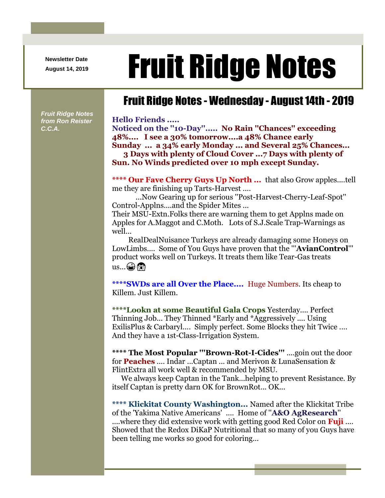**Newsletter Date**

## August 14, 2019 **Fruit Ridge Notes**

## Fruit Ridge Notes - Wednesday - August 14th - 2019

*Fruit Ridge Notes from Ron Reister C.C.A.*

**Hello Friends ..... Noticed on the ''10-Day''..... No Rain ''Chances'' exceeding 48%.... I see a 30% tomorrow....a 48% Chance early Sunday ... a 34% early Monday ... and Several 25% Chances... 3 Days with plenty of Cloud Cover ...7 Days with plenty of Sun. No Winds predicted over 10 mph except Sunday.**

**\*\*\*\* Our Fave Cherry Guys Up North ...** that also Grow apples....tell me they are finishing up Tarts-Harvest ....

...Now Gearing up for serious ''Post-Harvest-Cherry-Leaf-Spot'' Control-Applns....and the Spider Mites ...

Their MSU-Extn.Folks there are warning them to get Applns made on Apples for A.Maggot and C.Moth. Lots of S.J.Scale Trap-Warnings as well...

RealDealNuisance Turkeys are already damaging some Honeys on LowLimbs.... Some of You Guys have proven that the '''**AvianControl**''' product works well on Turkeys. It treats them like Tear-Gas treats  $us...$  $\odot$ 

**\*\*\*\*SWDs are all Over the Place....** Huge Numbers. Its cheap to Killem. Just Killem.

**\*\*\*\*Lookn at some Beautiful Gala Crops** Yesterday.... Perfect Thinning Job... They Thinned \*Early and \*Aggressively .... Using ExilisPlus & Carbaryl.... Simply perfect. Some Blocks they hit Twice .... And they have a 1st-Class-Irrigation System.

**\*\*\*\* The Most Popular '''Brown-Rot-I-Cides'''** ....goin out the door for **Peaches** .... Indar ...Captan ... and Merivon & LunaSensation & FlintExtra all work well & recommended by MSU.

We always keep Captan in the Tank...helping to prevent Resistance. By itself Captan is pretty darn OK for BrownRot... OK...

**\*\*\*\* Klickitat County Washington...** Named after the Klickitat Tribe of the 'Yakima Native Americans' .... Home of ''**A&O AgResearch**'' ....where they did extensive work with getting good Red Color on **Fuji** .... Showed that the Redox DiKaP Nutritional that so many of you Guys have been telling me works so good for coloring...